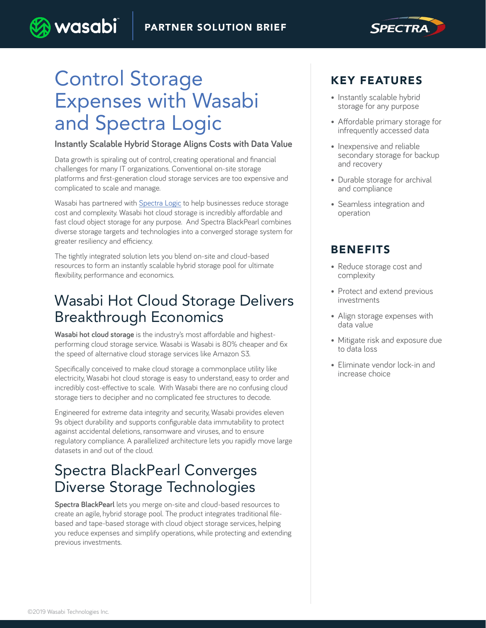

# Control Storage Expenses with Wasabi and Spectra Logic

wasabi

#### **Instantly Scalable Hybrid Storage Aligns Costs with Data Value**

Data growth is spiraling out of control, creating operational and financial challenges for many IT organizations. Conventional on-site storage platforms and first-generation cloud storage services are too expensive and complicated to scale and manage.

Wasabi has partnered with [Spectra Logic](https://spectralogic.com/) to help businesses reduce storage cost and complexity. Wasabi hot cloud storage is incredibly affordable and fast cloud object storage for any purpose. And Spectra BlackPearl combines diverse storage targets and technologies into a converged storage system for greater resiliency and efficiency.

The tightly integrated solution lets you blend on-site and cloud-based resources to form an instantly scalable hybrid storage pool for ultimate flexibility, performance and economics.

### Wasabi Hot Cloud Storage Delivers Breakthrough Economics

**Wasabi hot cloud storage** is the industry's most affordable and highestperforming cloud storage service. Wasabi is Wasabi is 80% cheaper and 6x the speed of alternative cloud storage services like Amazon S3.

Specifically conceived to make cloud storage a commonplace utility like electricity, Wasabi hot cloud storage is easy to understand, easy to order and incredibly cost-effective to scale. With Wasabi there are no confusing cloud storage tiers to decipher and no complicated fee structures to decode.

Engineered for extreme data integrity and security, Wasabi provides eleven 9s object durability and supports configurable data immutability to protect against accidental deletions, ransomware and viruses, and to ensure regulatory compliance. A parallelized architecture lets you rapidly move large datasets in and out of the cloud.

### Spectra BlackPearl Converges Diverse Storage Technologies

**Spectra BlackPearl** lets you merge on-site and cloud-based resources to create an agile, hybrid storage pool. The product integrates traditional filebased and tape-based storage with cloud object storage services, helping you reduce expenses and simplify operations, while protecting and extending previous investments.

### KEY FEATURES

- Instantly scalable hybrid storage for any purpose
- Affordable primary storage for infrequently accessed data
- Inexpensive and reliable secondary storage for backup and recovery
- Durable storage for archival and compliance
- Seamless integration and operation

### BENEFITS

- Reduce storage cost and complexity
- Protect and extend previous investments
- Align storage expenses with data value
- Mitigate risk and exposure due to data loss
- Eliminate vendor lock-in and increase choice